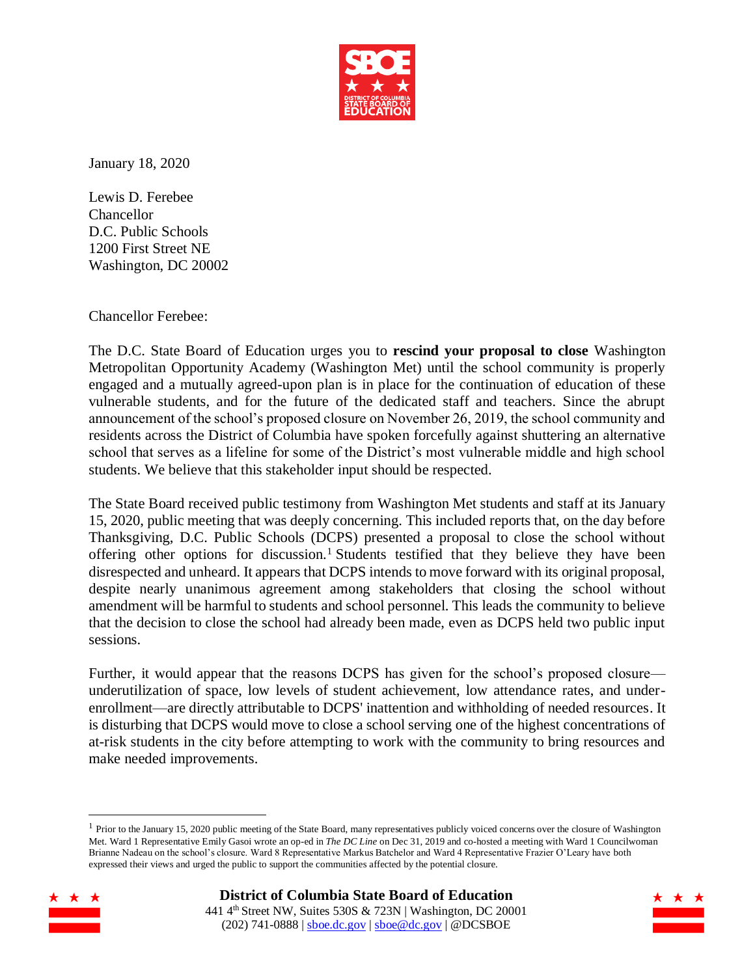

January 18, 2020

Lewis D. Ferebee Chancellor D.C. Public Schools 1200 First Street NE Washington, DC 20002

Chancellor Ferebee:

The D.C. State Board of Education urges you to **rescind your proposal to close** Washington Metropolitan Opportunity Academy (Washington Met) until the school community is properly engaged and a mutually agreed-upon plan is in place for the continuation of education of these vulnerable students, and for the future of the dedicated staff and teachers. Since the abrupt announcement of the school's proposed closure on November 26, 2019, the school community and residents across the District of Columbia have spoken forcefully against shuttering an alternative school that serves as a lifeline for some of the District's most vulnerable middle and high school students. We believe that this stakeholder input should be respected.

January 18, 2020)<br>
Lewis D. Ferebee<br>
Chancellor Schools<br>
1200 First Street NE<br>
Washington, DC 20002<br>
Chancellor Ferebee:<br>
The D.C. State Bourd of Education urges you to rescind your prop<br>
Metropolitan Opportunity Academy The State Board received public testimony from Washington Met students and staff at its January 15, 2020, public meeting that was deeply concerning. This included reports that, on the day before Thanksgiving, D.C. Public Schools (DCPS) presented a proposal to close the school without offering other options for discussion.<sup>1</sup> Students testified that they believe they have been disrespected and unheard. It appears that DCPS intends to move forward with its original proposal, despite nearly unanimous agreement among stakeholders that closing the school without amendment will be harmful to students and school personnel. This leads the community to believe that the decision to close the school had already been made, even as DCPS held two public input sessions.

Further, it would appear that the reasons DCPS has given for the school's proposed closure underutilization of space, low levels of student achievement, low attendance rates, and underenrollment—are directly attributable to DCPS' inattention and withholding of needed resources. It is disturbing that DCPS would move to close a school serving one of the highest concentrations of at-risk students in the city before attempting to work with the community to bring resources and make needed improvements.

<sup>&</sup>lt;sup>1</sup> Prior to the January 15, 2020 public meeting of the State Board, many representatives publicly voiced concerns over the closure of Washington Met. Ward 1 Representative Emily Gasoi wrote an op-ed in *The DC Line* on Dec 31, 2019 and co-hosted a meeting with Ward 1 Councilwoman Brianne Nadeau on the school's closure. Ward 8 Representative Markus Batchelor and Ward 4 Representative Frazier O'Leary have both expressed their views and urged the public to support the communities affected by the potential closure.



 $\overline{a}$